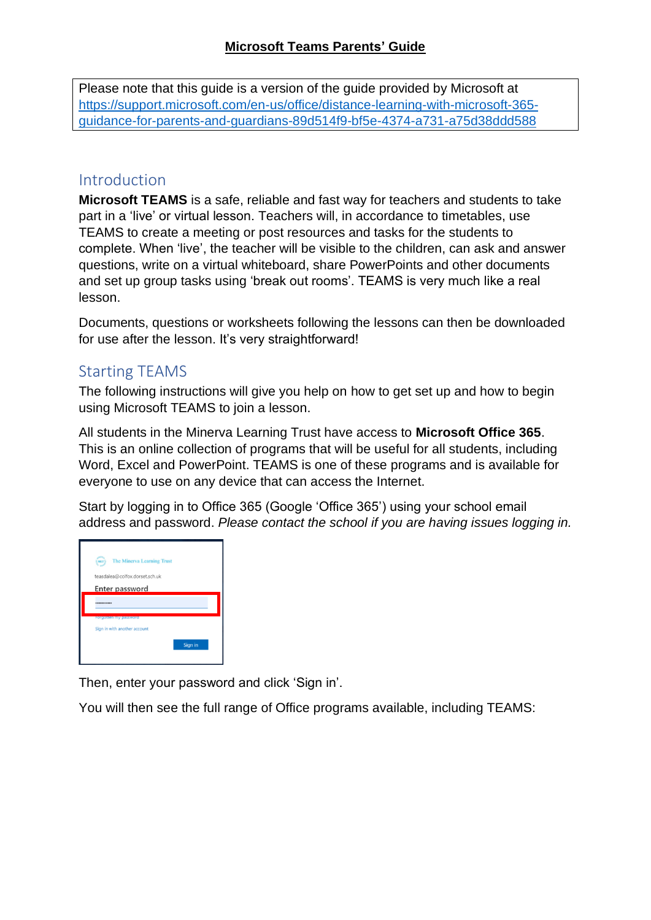Please note that this guide is a version of the guide provided by Microsoft at [https://support.microsoft.com/en-us/office/distance-learning-with-microsoft-365](https://support.microsoft.com/en-us/office/distance-learning-with-microsoft-365-guidance-for-parents-and-guardians-89d514f9-bf5e-4374-a731-a75d38ddd588) [guidance-for-parents-and-guardians-89d514f9-bf5e-4374-a731-a75d38ddd588](https://support.microsoft.com/en-us/office/distance-learning-with-microsoft-365-guidance-for-parents-and-guardians-89d514f9-bf5e-4374-a731-a75d38ddd588)

## Introduction

**Microsoft TEAMS** is a safe, reliable and fast way for teachers and students to take part in a 'live' or virtual lesson. Teachers will, in accordance to timetables, use TEAMS to create a meeting or post resources and tasks for the students to complete. When 'live', the teacher will be visible to the children, can ask and answer questions, write on a virtual whiteboard, share PowerPoints and other documents and set up group tasks using 'break out rooms'. TEAMS is very much like a real lesson.

Documents, questions or worksheets following the lessons can then be downloaded for use after the lesson. It's very straightforward!

# Starting TEAMS

The following instructions will give you help on how to get set up and how to begin using Microsoft TEAMS to join a lesson.

All students in the Minerva Learning Trust have access to **Microsoft Office 365**. This is an online collection of programs that will be useful for all students, including Word, Excel and PowerPoint. TEAMS is one of these programs and is available for everyone to use on any device that can access the Internet.

Start by logging in to Office 365 (Google 'Office 365') using your school email address and password. *Please contact the school if you are having issues logging in.*



Then, enter your password and click 'Sign in'.

You will then see the full range of Office programs available, including TEAMS: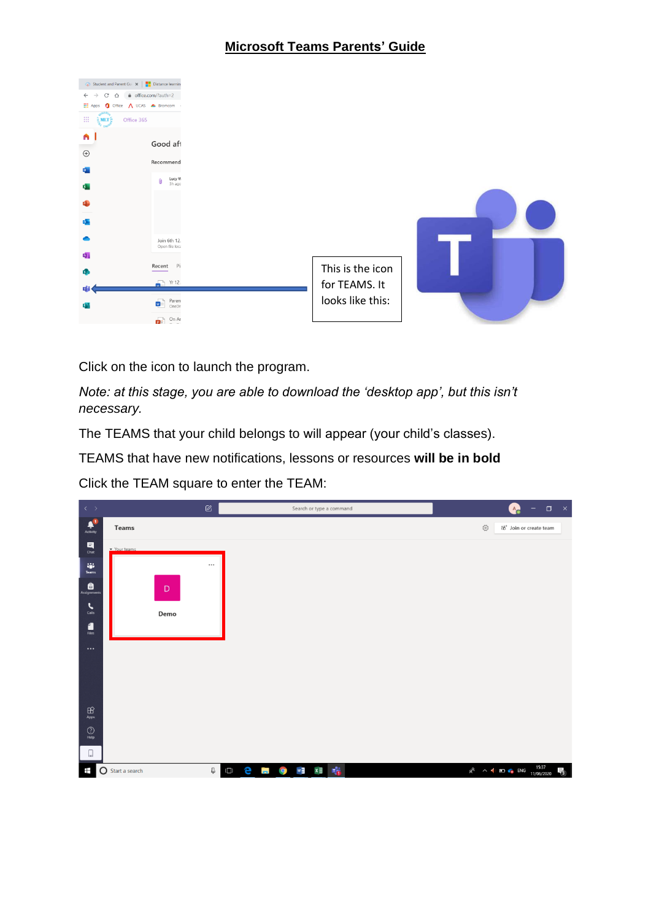| Student and Parent Gui $\mathbf{x}$   Distance learning                          |                                                        |                  |
|----------------------------------------------------------------------------------|--------------------------------------------------------|------------------|
| C<br>$\hat{D}$<br>$\leftarrow$                                                   | △ office.com/?auth=2                                   |                  |
| $\frac{1}{2}$ Apps $\bigcirc$ Office $\bigwedge$ UCAS $\bigtriangleup$ Bromcom + |                                                        |                  |
| $\mathop{\text{III}}\nolimits$<br>Office 365<br>$\frac{5}{3}$ MLT $\frac{6}{3}$  |                                                        |                  |
| Α                                                                                | Good aft                                               |                  |
| $\hspace{.1cm} \oplus$<br>$W_{\pm}$                                              | Recommend                                              |                  |
| $\mathbf{x}$                                                                     | Lucy W<br>3h ago                                       |                  |
|                                                                                  |                                                        |                  |
| $\overline{\mathbf{O}}$                                                          |                                                        |                  |
|                                                                                  | Join 6th 12.<br>Open file loca                         |                  |
| 内                                                                                | Recent Pi                                              |                  |
| s.                                                                               |                                                        | This is the icon |
| ш                                                                                | $\frac{1}{\sqrt{2}}$ Yr 12                             | for TEAMS. It    |
|                                                                                  | Paren <sup>.</sup><br>OneDri<br>C                      | looks like this: |
|                                                                                  | $\begin{bmatrix} 1 & 0 & 0 \\ 0 & 0 & 0 \end{bmatrix}$ |                  |

Click on the icon to launch the program.

*Note: at this stage, you are able to download the 'desktop app', but this isn't necessary.*

The TEAMS that your child belongs to will appear (your child's classes).

TEAMS that have new notifications, lessons or resources **will be in bold**

Click the TEAM square to enter the TEAM:

| $\left\langle \cdot\right\rangle$ $\left\langle \cdot\right\rangle$                        |                | $\varnothing$ |        | Search or type a command                          | $ \Box$<br>$\bullet$<br>$\mathbf{x}$                  |
|--------------------------------------------------------------------------------------------|----------------|---------------|--------|---------------------------------------------------|-------------------------------------------------------|
| $\begin{array}{c} \begin{array}{c} \bullet \\ \bullet \\ \end{array} \end{array}$ Activity | Teams          |               |        |                                                   | 503<br>ะอ <sup>+</sup> Join or create team            |
| q<br>Chat                                                                                  | v Your teams   |               |        |                                                   |                                                       |
| W.<br><b>Teams</b>                                                                         |                | $\cdots$      |        |                                                   |                                                       |
| ê<br><b>Assignments</b>                                                                    |                | $\mathsf D$   |        |                                                   |                                                       |
| $\sum_{\text{Calls}}$                                                                      |                | Demo          |        |                                                   |                                                       |
| $\begin{array}{c}\n\blacksquare \\ \blacksquare\n\end{array}$<br>Files                     |                |               |        |                                                   |                                                       |
| $\cdots$                                                                                   |                |               |        |                                                   |                                                       |
|                                                                                            |                |               |        |                                                   |                                                       |
|                                                                                            |                |               |        |                                                   |                                                       |
| $\oplus$<br>Apps                                                                           |                |               |        |                                                   |                                                       |
| $\odot$<br>He                                                                              |                |               |        |                                                   |                                                       |
| $\Box$                                                                                     |                |               |        |                                                   |                                                       |
| Ŧ                                                                                          | Start a search | Q.            | $\Box$ | $e$ is $\bullet$ will $x \mathbb{B}$ in $\bullet$ | $R^2 \sim 1$ D & ENG $\frac{15:37}{11/06/2020}$<br>73 |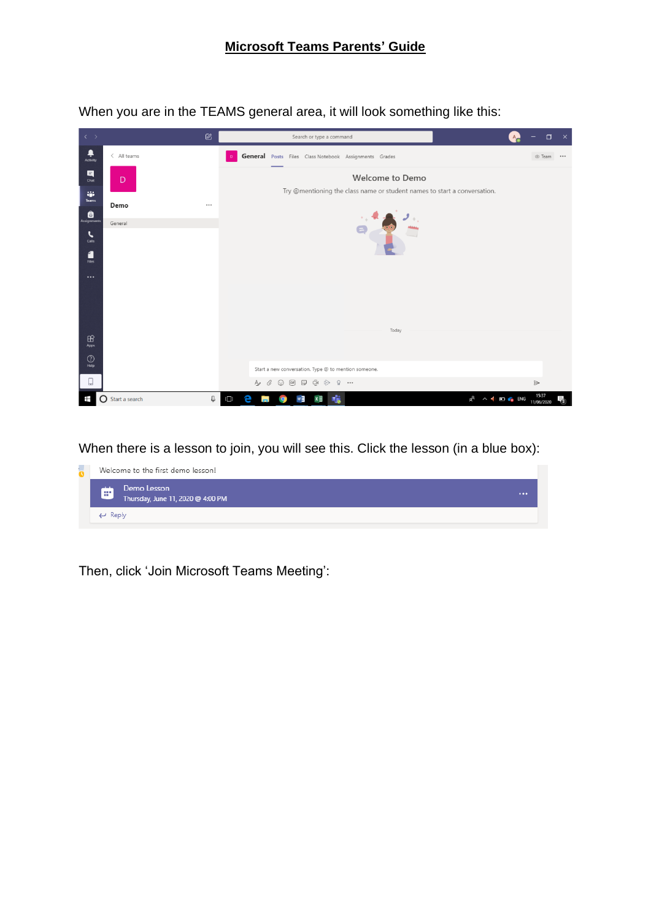

When you are in the TEAMS general area, it will look something like this:

When there is a lesson to join, you will see this. Click the lesson (in a blue box):



Then, click 'Join Microsoft Teams Meeting':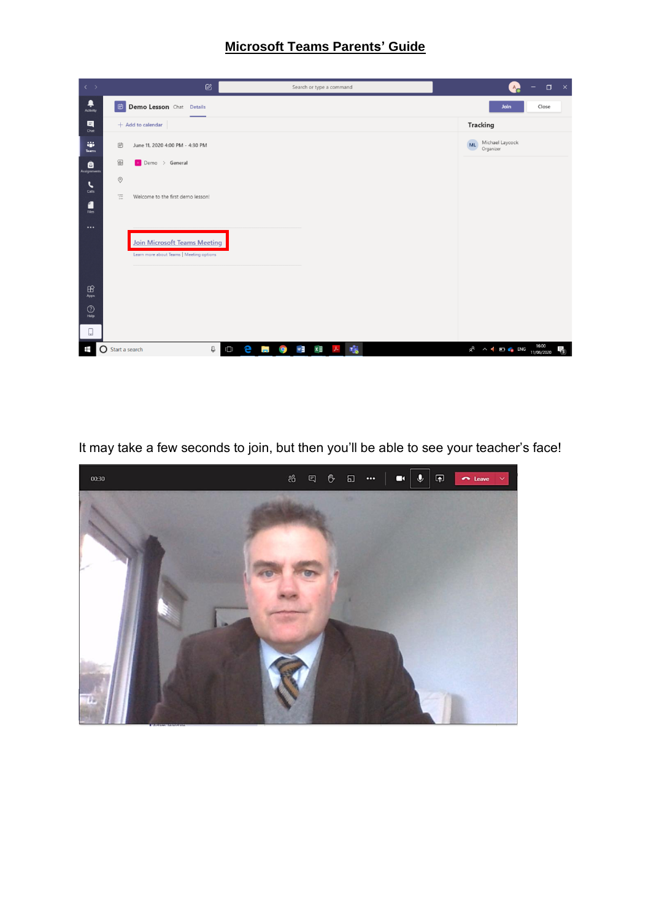| $\left\langle \cdot \right\rangle$ $\rightarrow$ | $\varnothing$<br>Search or type a command                                       | $\Box$<br>$\mathbf{x}$<br>$A_{\odot}$<br>$\sim$ |
|--------------------------------------------------|---------------------------------------------------------------------------------|-------------------------------------------------|
| ٠<br>Activity                                    | Demo Lesson Chat Details                                                        | Join<br>Close                                   |
| Q<br>Chat                                        | $+$ Add to calendar                                                             | Tracking                                        |
| W.<br><b>Teams</b>                               | 曲<br>June 11, 2020 4:00 PM - 4:30 PM                                            | Michael Laycock<br>ML<br>Organizer              |
| ê<br>Assignments                                 | 冒<br>Demo > General                                                             |                                                 |
| $\sum_{\text{Calls}}$                            | $\odot$                                                                         |                                                 |
| 4<br>Files                                       | $\equiv$<br>Welcome to the first demo lesson!                                   |                                                 |
| $\cdots$                                         |                                                                                 |                                                 |
|                                                  | <b>Join Microsoft Teams Meeting</b><br>Learn more about Teams   Meeting options |                                                 |
|                                                  |                                                                                 |                                                 |
| $\oplus$                                         |                                                                                 |                                                 |
| Apps                                             |                                                                                 |                                                 |
| $\odot$<br>He                                    |                                                                                 |                                                 |
| П                                                |                                                                                 |                                                 |
| Ŧ                                                | 噛<br><b>2 日 9 四 ×目 人</b><br>₿<br>$\Box$<br>Start a search                       | $R^2 \sim 100$ ENG $1000$<br>$\overline{3}$     |

It may take a few seconds to join, but then you'll be able to see your teacher's face!

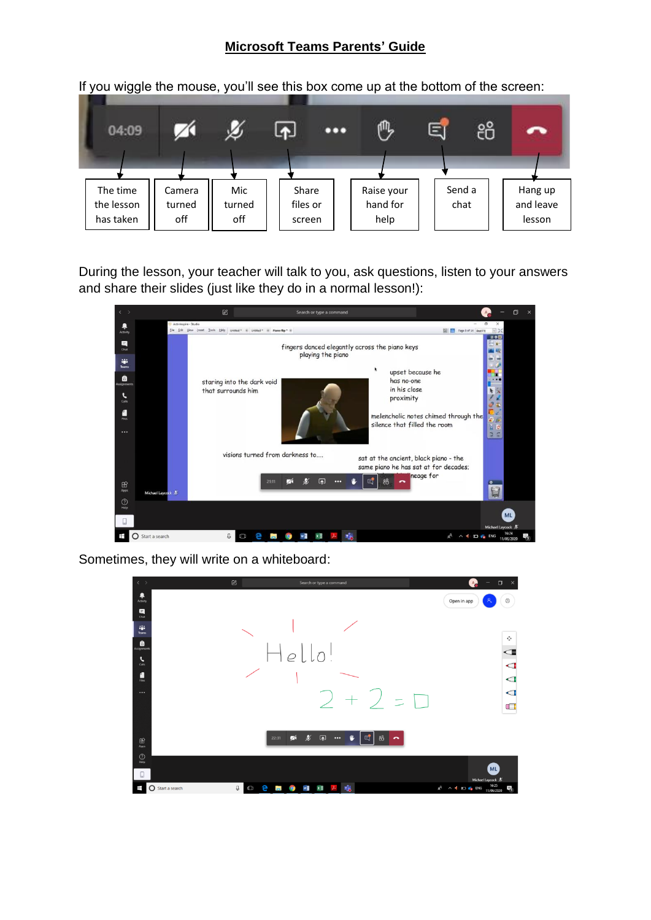

During the lesson, your teacher will talk to you, ask questions, listen to your answers

and share their slides (just like they do in a normal lesson!):

Search or type a con  $\ddot{\bullet}$ **Bachimpire** Studio<br>
File Edit View Insert Tools Help Unities<sup>\*</sup> & Unities<sup>\*</sup> & Plano flip<sup>\*</sup> & **E** Page 5 of 14  $\begin{array}{c}\n\blacksquare \\
\blacksquare\n\end{array}$ fingers danced elegantly across the piano keys playing the piano  $\frac{1}{\text{Rams}}$ upset because he  $\bullet$ has no-one staring into the dark void in his close that surrounds him  $\sum_{\text{CMB}}$ proximity  $\frac{1}{2}$ melencholic notes chimed through the é silence that filled the room  $\begin{array}{|c|c|c|}\hline 0 & 0 \\ \hline 0 & 0 \\ \hline \end{array}$ visions turned from darkness to.... sat at the ancient, black piano - the same piano he has sat at for decades; neage for  $\blacksquare$  $\pmb{\Psi}$ 8 ~  $\bigoplus_{A \in \mathbb{N}}$  $\bigodot$  Help  $\Box$  $\blacksquare$   $\blacksquare$  Start a search **SOCHONKEY** 

Sometimes, they will write on a whiteboard: